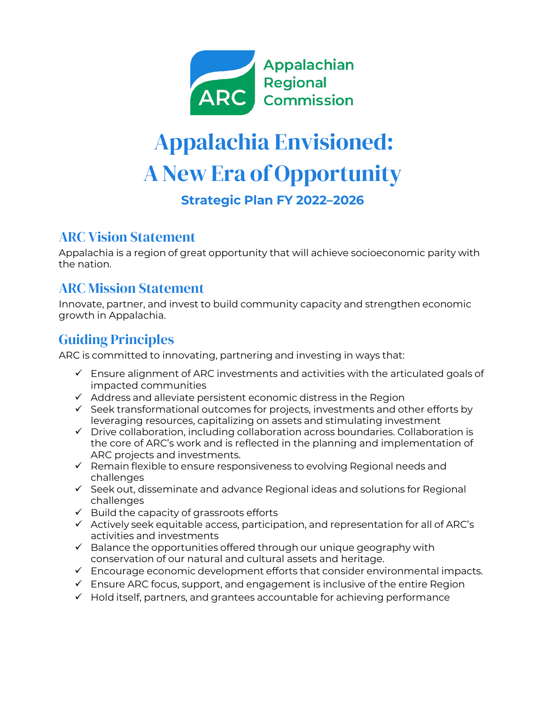

# Appalachia Envisioned: A New Era of Opportunity

**Strategic Plan FY 2022–2026**

## ARC Vision Statement

Appalachia is a region of great opportunity that will achieve socioeconomic parity with the nation.

## ARC Mission Statement

Innovate, partner, and invest to build community capacity and strengthen economic growth in Appalachia.

# Guiding Principles

ARC is committed to innovating, partnering and investing in ways that:

- $\checkmark$  Ensure alignment of ARC investments and activities with the articulated goals of impacted communities
- $\checkmark$  Address and alleviate persistent economic distress in the Region
- $\checkmark$  Seek transformational outcomes for projects, investments and other efforts by leveraging resources, capitalizing on assets and stimulating investment
- $\checkmark$  Drive collaboration, including collaboration across boundaries. Collaboration is the core of ARC's work and is reflected in the planning and implementation of ARC projects and investments.
- $\checkmark$  Remain flexible to ensure responsiveness to evolving Regional needs and challenges
- $\checkmark$  Seek out, disseminate and advance Regional ideas and solutions for Regional challenges
- $\checkmark$  Build the capacity of grassroots efforts
- $\checkmark$  Actively seek equitable access, participation, and representation for all of ARC's activities and investments
- $\checkmark$  Balance the opportunities offered through our unique geography with conservation of our natural and cultural assets and heritage.
- $\checkmark$  Encourage economic development efforts that consider environmental impacts.
- $\checkmark$  Ensure ARC focus, support, and engagement is inclusive of the entire Region
- $\checkmark$  Hold itself, partners, and grantees accountable for achieving performance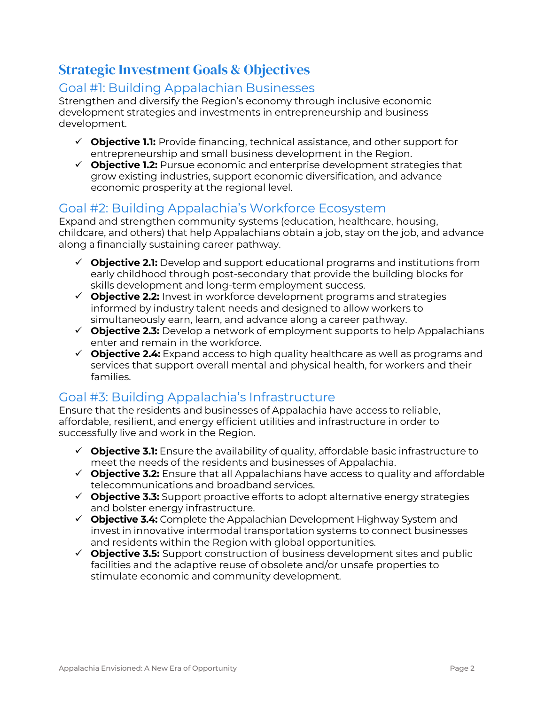## Strategic Investment Goals & Objectives

#### Goal #1: Building Appalachian Businesses

Strengthen and diversify the Region's economy through inclusive economic development strategies and investments in entrepreneurship and business development.

- **Objective 1.1:** Provide financing, technical assistance, and other support for entrepreneurship and small business development in the Region.
- **Objective 1.2:** Pursue economic and enterprise development strategies that grow existing industries, support economic diversification, and advance economic prosperity at the regional level.

#### Goal #2: Building Appalachia's Workforce Ecosystem

Expand and strengthen community systems (education, healthcare, housing, childcare, and others) that help Appalachians obtain a job, stay on the job, and advance along a financially sustaining career pathway.

- **Objective 2.1:** Develop and support educational programs and institutions from early childhood through post-secondary that provide the building blocks for skills development and long-term employment success.
- **Objective 2.2:** Invest in workforce development programs and strategies informed by industry talent needs and designed to allow workers to simultaneously earn, learn, and advance along a career pathway.
- **Objective 2.3:** Develop a network of employment supports to help Appalachians enter and remain in the workforce.
- **Objective 2.4:** Expand access to high quality healthcare as well as programs and services that support overall mental and physical health, for workers and their families.

## Goal #3: Building Appalachia's Infrastructure

Ensure that the residents and businesses of Appalachia have access to reliable, affordable, resilient, and energy efficient utilities and infrastructure in order to successfully live and work in the Region.

- **Objective 3.1:** Ensure the availability of quality, affordable basic infrastructure to meet the needs of the residents and businesses of Appalachia.
- **Objective 3.2:** Ensure that all Appalachians have access to quality and affordable telecommunications and broadband services.
- **Objective 3.3:** Support proactive efforts to adopt alternative energy strategies and bolster energy infrastructure.
- **Objective 3.4:** Complete the Appalachian Development Highway System and invest in innovative intermodal transportation systems to connect businesses and residents within the Region with global opportunities.
- **Objective 3.5:** Support construction of business development sites and public facilities and the adaptive reuse of obsolete and/or unsafe properties to stimulate economic and community development.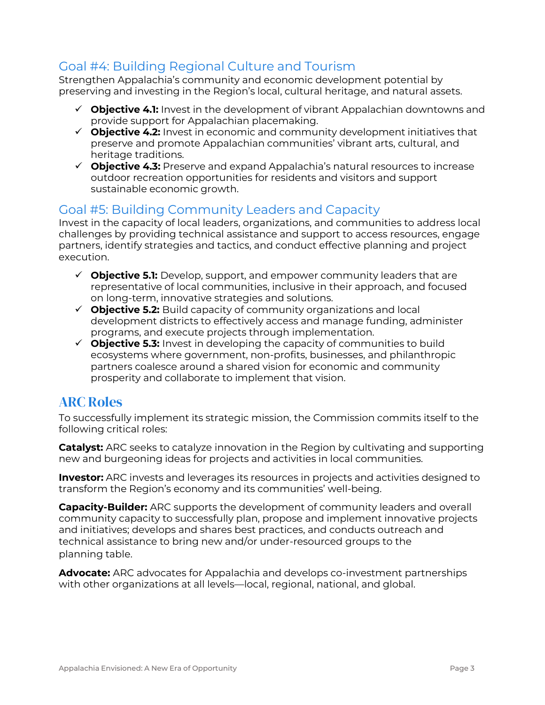## Goal #4: Building Regional Culture and Tourism

Strengthen Appalachia's community and economic development potential by preserving and investing in the Region's local, cultural heritage, and natural assets.

- **Objective 4.1:** Invest in the development of vibrant Appalachian downtowns and provide support for Appalachian placemaking.
- **Objective 4.2:** Invest in economic and community development initiatives that preserve and promote Appalachian communities' vibrant arts, cultural, and heritage traditions.
- **Objective 4.3:** Preserve and expand Appalachia's natural resources to increase outdoor recreation opportunities for residents and visitors and support sustainable economic growth.

## Goal #5: Building Community Leaders and Capacity

Invest in the capacity of local leaders, organizations, and communities to address local challenges by providing technical assistance and support to access resources, engage partners, identify strategies and tactics, and conduct effective planning and project execution.

- **Objective 5.1:** Develop, support, and empower community leaders that are representative of local communities, inclusive in their approach, and focused on long-term, innovative strategies and solutions.
- **Objective 5.2:** Build capacity of community organizations and local development districts to effectively access and manage funding, administer programs, and execute projects through implementation.
- **Objective 5.3:** Invest in developing the capacity of communities to build ecosystems where government, non-profits, businesses, and philanthropic partners coalesce around a shared vision for economic and community prosperity and collaborate to implement that vision.

# ARC Roles

To successfully implement its strategic mission, the Commission commits itself to the following critical roles:

**Catalyst:** ARC seeks to catalyze innovation in the Region by cultivating and supporting new and burgeoning ideas for projects and activities in local communities.

**Investor:** ARC invests and leverages its resources in projects and activities designed to transform the Region's economy and its communities' well-being.

**Capacity-Builder:** ARC supports the development of community leaders and overall community capacity to successfully plan, propose and implement innovative projects and initiatives; develops and shares best practices, and conducts outreach and technical assistance to bring new and/or under-resourced groups to the planning table.

**Advocate:** ARC advocates for Appalachia and develops co-investment partnerships with other organizations at all levels—local, regional, national, and global.